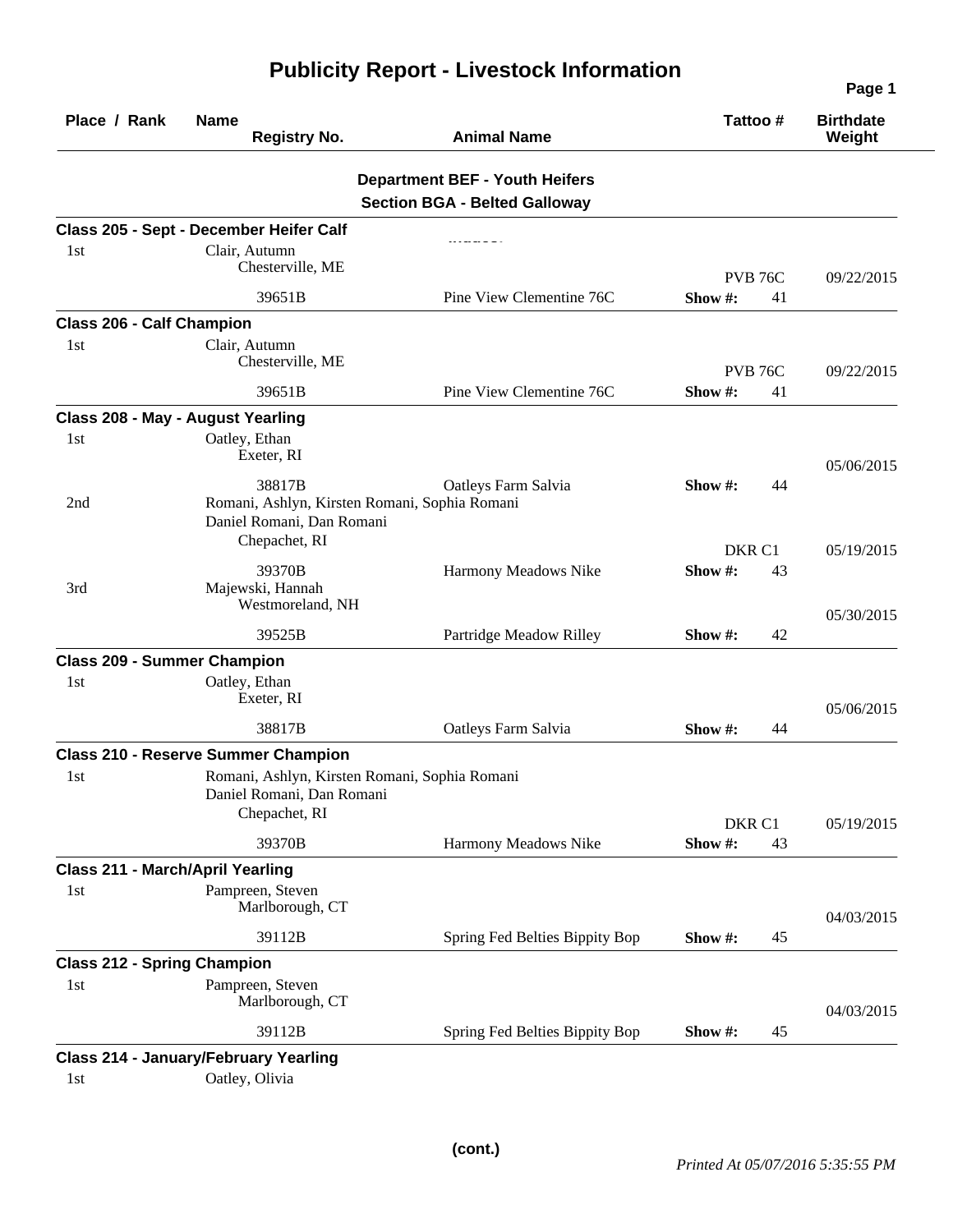|                                         |                                                                                                       |                                                                               |                   | Page 1                     |
|-----------------------------------------|-------------------------------------------------------------------------------------------------------|-------------------------------------------------------------------------------|-------------------|----------------------------|
| Place / Rank                            | <b>Name</b><br><b>Registry No.</b>                                                                    | <b>Animal Name</b>                                                            | Tattoo#           | <b>Birthdate</b><br>Weight |
|                                         |                                                                                                       | <b>Department BEF - Youth Heifers</b><br><b>Section BGA - Belted Galloway</b> |                   |                            |
|                                         | Class 205 - Sept - December Heifer Calf                                                               |                                                                               |                   |                            |
| 1st                                     | Clair, Autumn<br>Chesterville, ME                                                                     |                                                                               | <b>PVB 76C</b>    | 09/22/2015                 |
|                                         | 39651B                                                                                                | Pine View Clementine 76C                                                      | Show #:<br>41     |                            |
| <b>Class 206 - Calf Champion</b>        |                                                                                                       |                                                                               |                   |                            |
| 1st                                     | Clair, Autumn<br>Chesterville, ME                                                                     |                                                                               | <b>PVB 76C</b>    | 09/22/2015                 |
|                                         | 39651B                                                                                                | Pine View Clementine 76C                                                      | Show #:<br>41     |                            |
|                                         | Class 208 - May - August Yearling                                                                     |                                                                               |                   |                            |
| 1st                                     | Oatley, Ethan<br>Exeter, RI                                                                           |                                                                               |                   | 05/06/2015                 |
| 2nd                                     | 38817B<br>Romani, Ashlyn, Kirsten Romani, Sophia Romani<br>Daniel Romani, Dan Romani<br>Chepachet, RI | Oatleys Farm Salvia                                                           | Show #:<br>44     |                            |
|                                         |                                                                                                       |                                                                               | DKR <sub>C1</sub> | 05/19/2015                 |
| 3rd                                     | 39370B<br>Majewski, Hannah<br>Westmoreland, NH                                                        | Harmony Meadows Nike                                                          | Show#:<br>43      |                            |
|                                         | 39525B                                                                                                | Partridge Meadow Rilley                                                       | 42<br>Show #:     | 05/30/2015                 |
| <b>Class 209 - Summer Champion</b>      |                                                                                                       |                                                                               |                   |                            |
| 1st                                     | Oatley, Ethan<br>Exeter, RI                                                                           |                                                                               |                   | 05/06/2015                 |
|                                         | 38817B                                                                                                | Oatleys Farm Salvia                                                           | Show #:<br>44     |                            |
|                                         | <b>Class 210 - Reserve Summer Champion</b>                                                            |                                                                               |                   |                            |
| 1st                                     | Romani, Ashlyn, Kirsten Romani, Sophia Romani<br>Daniel Romani, Dan Romani                            |                                                                               |                   |                            |
|                                         | Chepachet, RI                                                                                         |                                                                               | DKR C1            | 05/19/2015                 |
|                                         | 39370B                                                                                                | Harmony Meadows Nike                                                          | Show#:<br>43      |                            |
| <b>Class 211 - March/April Yearling</b> |                                                                                                       |                                                                               |                   |                            |
| 1st                                     | Pampreen, Steven<br>Marlborough, CT                                                                   |                                                                               |                   | 04/03/2015                 |
|                                         | 39112B                                                                                                | Spring Fed Belties Bippity Bop                                                | Show #:<br>45     |                            |
| <b>Class 212 - Spring Champion</b>      |                                                                                                       |                                                                               |                   |                            |
| 1st                                     | Pampreen, Steven<br>Marlborough, CT                                                                   |                                                                               |                   | 04/03/2015                 |
|                                         | 39112B                                                                                                | Spring Fed Belties Bippity Bop                                                | 45<br>Show #:     |                            |
|                                         | <b>Class 214 - January/February Yearling</b>                                                          |                                                                               |                   |                            |
| 1st                                     | Oatley, Olivia                                                                                        |                                                                               |                   |                            |

## **Publicity Report - Livestock Information**